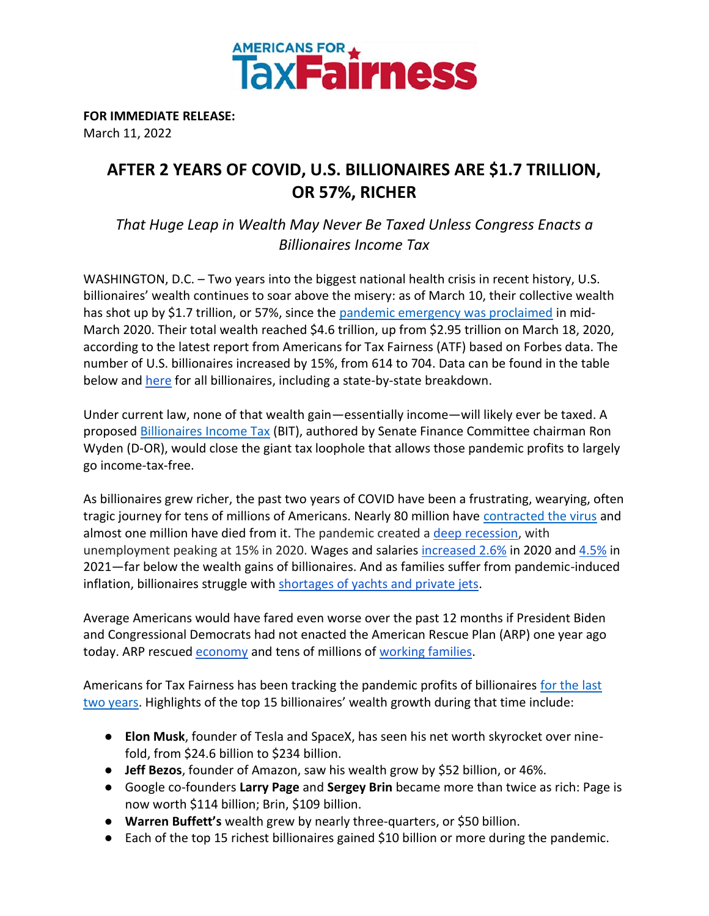

**FOR IMMEDIATE RELEASE:** March 11, 2022

## **AFTER 2 YEARS OF COVID, U.S. BILLIONAIRES ARE \$1.7 TRILLION, OR 57%, RICHER**

*That Huge Leap in Wealth May Never Be Taxed Unless Congress Enacts a Billionaires Income Tax* 

WASHINGTON, D.C. - Two years into the biggest national health crisis in recent history, U.S. billionaires' wealth continues to soar above the misery: as of March 10, their collective wealth has shot up by \$1.7 trillion, or 57%, since the [pandemic emergency was proclaimed](https://www.fema.gov/press-release/20210318/covid-19-emergency-declaration) in mid-March 2020. Their total wealth reached \$4.6 trillion, up from \$2.95 trillion on March 18, 2020, according to the latest report from Americans for Tax Fairness (ATF) based on Forbes data. The number of U.S. billionaires increased by 15%, from 614 to 704. Data can be found in the table below an[d here](https://docs.google.com/spreadsheets/d/1szqeDvXCYCrOpisNBZiVfYHv1VM3p5y1Hk0ULFDS1YQ/edit?usp=sharing) for all billionaires, including a state-by-state breakdown.

Under current law, none of that wealth gain—essentially income—will likely ever be taxed. A proposed **Billionaires Income Tax** (BIT), authored by Senate Finance Committee chairman Ron Wyden (D-OR), would close the giant tax loophole that allows those pandemic profits to largely go income-tax-free.

As billionaires grew richer, the past two years of COVID have been a frustrating, wearying, often tragic journey for tens of millions of Americans. Nearly 80 million have [contracted the virus](https://coronavirus.jhu.edu/) and almost one million have died from it. The pandemic created a [deep recession,](https://www.thebalance.com/how-covid-19-has-affected-the-us-economy-5092445) with unemployment peaking at 15% in 2020. Wages and salarie[s](https://www.bls.gov/news.release/pdf/eci.pdf) [increased 2.6%](https://www.bls.gov/news.release/archives/eci_01292021.pdf) in 2020 an[d](https://www.bls.gov/news.release/pdf/eci.pdf) [4.5%](https://www.bls.gov/news.release/pdf/eci.pdf) in 2021—far below the wealth gains of billionaires. And as families suffer from pandemic-induced inflation, billionaires struggle wit[h shortages of yachts and private jets.](https://www.axios.com/pandemic-supply-chain-shortages-yachts-art-planes-super-rich-38503d2f-e3a8-48d4-82c4-727c2e62aa0f.html)

Average Americans would have fared even worse over the past 12 months if President Biden and Congressional Democrats had not enacted the American Rescue Plan (ARP) one year ago today. ARP rescued [economy](https://drive.google.com/file/d/1IrbOK9Fpt8jYBgAgnYSUtS1VrPXKSW_5/view?usp=sharing) and tens of millions of [working families.](https://drive.google.com/file/d/1-yCLGzyAPQgkJDFbxT64POL9Q2CD7GoY/view?usp=sharing)

Americans for Tax Fairness has been tracking the pandemic profits of billionaires [for the last](https://americansfortaxfairness.org/billionaires/)  [two years](https://americansfortaxfairness.org/billionaires/). Highlights of the top 15 billionaires' wealth growth during that time include:

- **Elon Musk**, founder of Tesla and SpaceX, has seen his net worth skyrocket over ninefold, from \$24.6 billion to \$234 billion.
- **Jeff Bezos**, founder of Amazon, saw his wealth grow by \$52 billion, or 46%.
- Google co-founders **Larry Page** and **Sergey Brin** became more than twice as rich: Page is now worth \$114 billion; Brin, \$109 billion.
- **Warren Buffett's** wealth grew by nearly three-quarters, or \$50 billion.
- Each of the top 15 richest billionaires gained \$10 billion or more during the pandemic.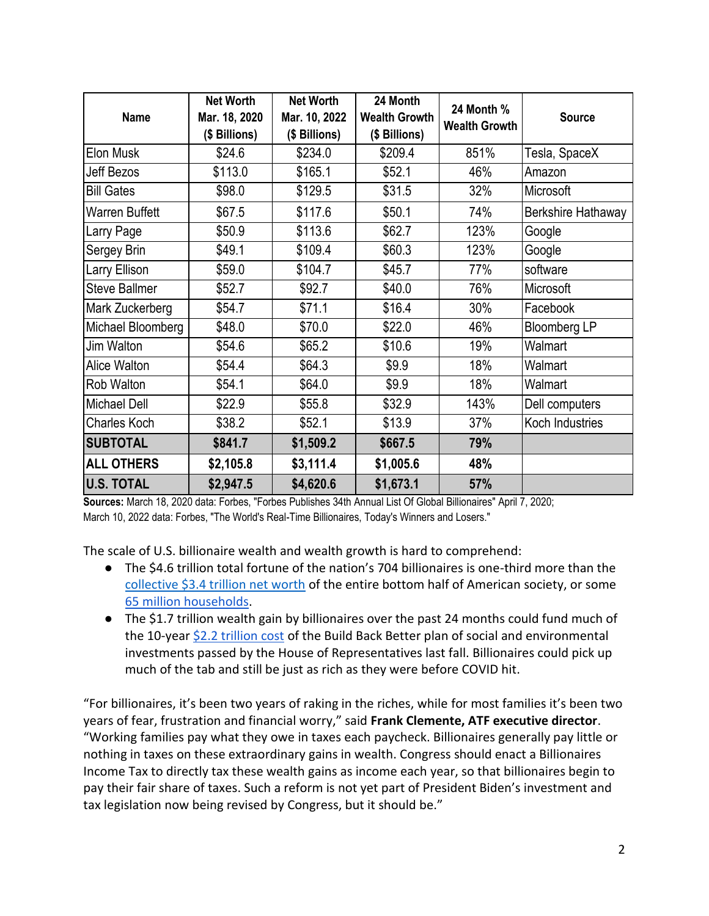| <b>Name</b>          | <b>Net Worth</b><br>Mar. 18, 2020<br>(\$ Billions) | <b>Net Worth</b><br>Mar. 10, 2022<br>(\$ Billions) | 24 Month<br><b>Wealth Growth</b><br>(\$ Billions) | 24 Month %<br><b>Wealth Growth</b> | <b>Source</b>       |
|----------------------|----------------------------------------------------|----------------------------------------------------|---------------------------------------------------|------------------------------------|---------------------|
| Elon Musk            | \$24.6                                             | \$234.0                                            | \$209.4                                           | 851%                               | Tesla, SpaceX       |
| Jeff Bezos           | \$113.0                                            | \$165.1                                            | \$52.1                                            | 46%                                | Amazon              |
| <b>Bill Gates</b>    | \$98.0                                             | \$129.5                                            | \$31.5                                            | 32%                                | Microsoft           |
| Warren Buffett       | \$67.5                                             | \$117.6                                            | \$50.1                                            | 74%                                | Berkshire Hathaway  |
| Larry Page           | \$50.9                                             | \$113.6                                            | \$62.7                                            | 123%                               | Google              |
| Sergey Brin          | \$49.1                                             | \$109.4                                            | \$60.3                                            | 123%                               | Google              |
| Larry Ellison        | \$59.0                                             | \$104.7                                            | \$45.7                                            | 77%                                | software            |
| <b>Steve Ballmer</b> | \$52.7                                             | \$92.7                                             | \$40.0                                            | 76%                                | Microsoft           |
| Mark Zuckerberg      | \$54.7                                             | \$71.1                                             | \$16.4                                            | 30%                                | Facebook            |
| Michael Bloomberg    | \$48.0                                             | \$70.0                                             | \$22.0                                            | 46%                                | <b>Bloomberg LP</b> |
| Jim Walton           | \$54.6                                             | \$65.2                                             | \$10.6                                            | 19%                                | Walmart             |
| Alice Walton         | \$54.4                                             | \$64.3                                             | \$9.9                                             | 18%                                | Walmart             |
| Rob Walton           | \$54.1                                             | \$64.0                                             | \$9.9                                             | 18%                                | Walmart             |
| <b>Michael Dell</b>  | \$22.9                                             | \$55.8                                             | \$32.9                                            | 143%                               | Dell computers      |
| <b>Charles Koch</b>  | \$38.2                                             | \$52.1                                             | \$13.9                                            | 37%                                | Koch Industries     |
| <b>SUBTOTAL</b>      | \$841.7                                            | \$1,509.2                                          | \$667.5                                           | 79%                                |                     |
| <b>ALL OTHERS</b>    | \$2,105.8                                          | \$3,111.4                                          | \$1,005.6                                         | 48%                                |                     |
| <b>U.S. TOTAL</b>    | \$2,947.5                                          | \$4,620.6                                          | \$1,673.1                                         | 57%                                |                     |

**Sources:** March 18, 2020 data: Forbes, "Forbes Publishes 34th Annual List Of Global Billionaires" April 7, 2020; March 10, 2022 data: Forbes, "The World's Real-Time Billionaires, Today's Winners and Losers."

The scale of U.S. billionaire wealth and wealth growth is hard to comprehend:

- The \$4.6 trillion total fortune of the nation's 704 billionaires is one-third more than the [collective \\$3.4 trillion net worth](https://www.federalreserve.gov/releases/z1/dataviz/dfa/distribute/chart/#range:2006.3,2021.3) of the entire bottom half of American society, or some [65 million households.](https://www.statista.com/statistics/183635/number-of-households-in-the-us/#:~:text=How%20many%20households%20are%20in%20the%20U.S.%3F%20In,there%20were%2052.8%20million%20households%20in%20the%20U.S.)
- The \$1.7 trillion wealth gain by billionaires over the past 24 months could fund much of the 10-year [\\$2.2 trillion cost](https://www.nytimes.com/2021/11/19/us/politics/house-passes-reconciliation-bill.html) of the Build Back Better plan of social and environmental investments passed by the House of Representatives last fall. Billionaires could pick up much of the tab and still be just as rich as they were before COVID hit.

"For billionaires, it's been two years of raking in the riches, while for most families it's been two years of fear, frustration and financial worry," said **Frank Clemente, ATF executive director**. "Working families pay what they owe in taxes each paycheck. Billionaires generally pay little or nothing in taxes on these extraordinary gains in wealth. Congress should enact a Billionaires Income Tax to directly tax these wealth gains as income each year, so that billionaires begin to pay their fair share of taxes. Such a reform is not yet part of President Biden's investment and tax legislation now being revised by Congress, but it should be."